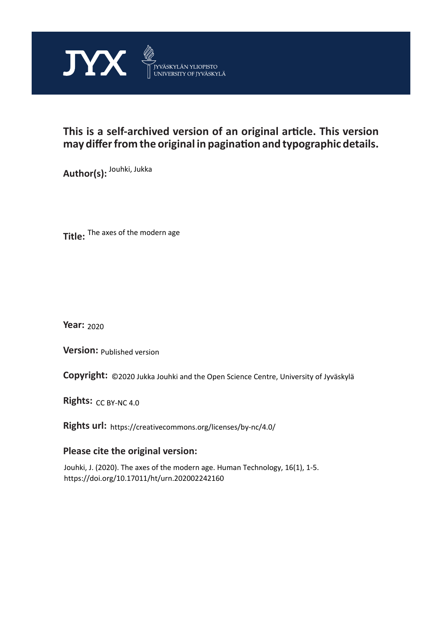

# **This is a self-archived version of an original article. This version may differ from the original in pagination and typographic details.**

**Author(s):**  Jouhki, Jukka

**Title:**  The axes of the modern age

**Year:**  2020

**Version:**

**Version:** Published version<br>**Copyright:** ©2020 Jukka Jouhki and the Open Science Centre, University of Jyväskylä

Rights: CC BY-NC 4.0

**Rights url:**  https://creativecommons.org/licenses/by-nc/4.0/

## **Please cite the original version:**

Jouhki, J. (2020). The axes of the modern age. Human Technology, 16(1), 1-5. https://doi.org/10.17011/ht/urn.202002242160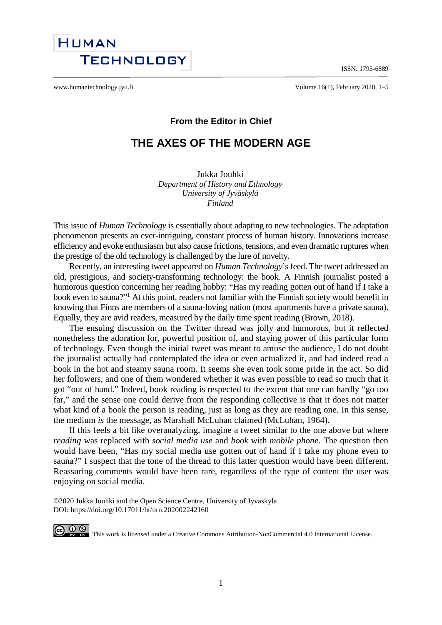ISSN: 1795-6889



www.humantechnology.jyu.fi example the volume 16(1), February 2020, 1–5

### **From the Editor in Chief**

# **THE AXES OF THE MODERN AGE**

Jukka Jouhki *Department of History and Ethnology University of Jyväskylä Finland*

This issue of *Human Technology* is essentially about adapting to new technologies. The adaptation phenomenon presents an ever-intriguing, constant process of human history. Innovations increase efficiency and evoke enthusiasm but also cause frictions, tensions, and even dramatic ruptures when the prestige of the old technology is challenged by the lure of novelty.

Recently, an interesting tweet appeared on *Human Technology*'s feed. The tweet addressed an old, prestigious, and society-transforming technology: the book. A Finnish journalist posted a humorous question concerning her reading hobby: "Has my reading gotten out of hand if I take a book even to sauna?"<sup>1</sup> At this point, readers not familiar with the Finnish society would benefit in knowing that Finns are members of a sauna-loving nation (most apartments have a private sauna). Equally, they are avid readers, measured by the daily time spent reading (Brown, 2018).

The ensuing discussion on the Twitter thread was jolly and humorous, but it reflected nonetheless the adoration for, powerful position of, and staying power of this particular form of technology. Even though the initial tweet was meant to amuse the audience, I do not doubt the journalist actually had contemplated the idea or even actualized it, and had indeed read a book in the hot and steamy sauna room. It seems she even took some pride in the act. So did her followers, and one of them wondered whether it was even possible to read so much that it got "out of hand." Indeed, book reading is respected to the extent that one can hardly "go too far," and the sense one could derive from the responding collective is that it does not matter what kind of a book the person is reading, just as long as they are reading one. In this sense, the medium *is* the message, as Marshall McLuhan claimed (McLuhan, 1964)**.**

If this feels a bit like overanalyzing, imagine a tweet similar to the one above but where *reading* was replaced with *social media use* and *book* with *mobile phone*. The question then would have been, "Has my social media use gotten out of hand if I take my phone even to sauna?" I suspect that the tone of the thread to this latter question would have been different. Reassuring comments would have been rare, regardless of the type of content the user was enjoying on social media.

©2020 Jukka Jouhki and the Open Science Centre, University of Jyväskylä DOI: https://doi.org/10.17011/ht/urn.202002242160

CO  $\bigcirc$   $\bigcirc$   $\bigcirc$  This work is licensed under [a Creative Commons Attribution-NonCommercial 4.0 International License.](http://creativecommons.org/licenses/by-nc/4.0/)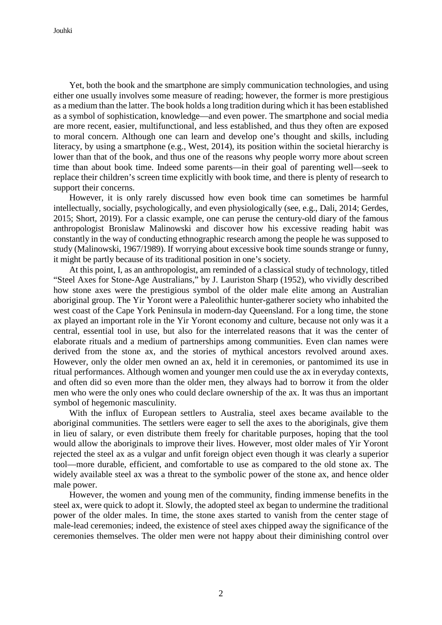Yet, both the book and the smartphone are simply communication technologies, and using either one usually involves some measure of reading; however, the former is more prestigious as a medium than the latter. The book holds a long tradition during which it has been established as a symbol of sophistication, knowledge—and even power. The smartphone and social media are more recent, easier, multifunctional, and less established, and thus they often are exposed to moral concern. Although one can learn and develop one's thought and skills, including literacy, by using a smartphone (e.g., West, 2014), its position within the societal hierarchy is lower than that of the book, and thus one of the reasons why people worry more about screen time than about book time. Indeed some parents—in their goal of parenting well—seek to replace their children's screen time explicitly with book time, and there is plenty of research to support their concerns.

However, it is only rarely discussed how even book time can sometimes be harmful intellectually, socially, psychologically, and even physiologically (see, e.g., Dali, 2014; Gerdes, 2015; Short, 2019). For a classic example, one can peruse the century-old diary of the famous anthropologist Bronislaw Malinowski and discover how his excessive reading habit was constantly in the way of conducting ethnographic research among the people he was supposed to study (Malinowski, 1967/1989). If worrying about excessive book time sounds strange or funny, it might be partly because of its traditional position in one's society.

At this point, I, as an anthropologist, am reminded of a classical study of technology, titled "Steel Axes for Stone-Age Australians," by J. Lauriston Sharp (1952), who vividly described how stone axes were the prestigious symbol of the older male elite among an Australian aboriginal group. The Yir Yoront were a Paleolithic hunter-gatherer society who inhabited the west coast of the Cape York Peninsula in modern-day Queensland. For a long time, the stone ax played an important role in the Yir Yoront economy and culture, because not only was it a central, essential tool in use, but also for the interrelated reasons that it was the center of elaborate rituals and a medium of partnerships among communities. Even clan names were derived from the stone ax, and the stories of mythical ancestors revolved around axes. However, only the older men owned an ax, held it in ceremonies, or pantomimed its use in ritual performances. Although women and younger men could use the ax in everyday contexts, and often did so even more than the older men, they always had to borrow it from the older men who were the only ones who could declare ownership of the ax. It was thus an important symbol of hegemonic masculinity.

With the influx of European settlers to Australia, steel axes became available to the aboriginal communities. The settlers were eager to sell the axes to the aboriginals, give them in lieu of salary, or even distribute them freely for charitable purposes, hoping that the tool would allow the aboriginals to improve their lives. However, most older males of Yir Yoront rejected the steel ax as a vulgar and unfit foreign object even though it was clearly a superior tool—more durable, efficient, and comfortable to use as compared to the old stone ax. The widely available steel ax was a threat to the symbolic power of the stone ax, and hence older male power.

However, the women and young men of the community, finding immense benefits in the steel ax, were quick to adopt it. Slowly, the adopted steel ax began to undermine the traditional power of the older males. In time, the stone axes started to vanish from the center stage of male-lead ceremonies; indeed, the existence of steel axes chipped away the significance of the ceremonies themselves. The older men were not happy about their diminishing control over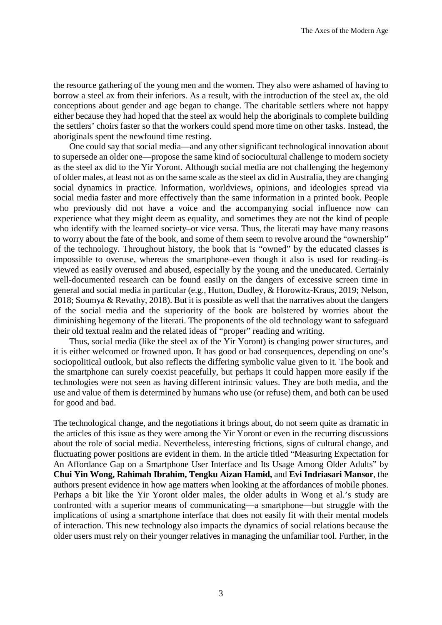the resource gathering of the young men and the women. They also were ashamed of having to borrow a steel ax from their inferiors. As a result, with the introduction of the steel ax, the old conceptions about gender and age began to change. The charitable settlers where not happy either because they had hoped that the steel ax would help the aboriginals to complete building the settlers' choirs faster so that the workers could spend more time on other tasks. Instead, the aboriginals spent the newfound time resting.

One could say that social media—and any other significant technological innovation about to supersede an older one—propose the same kind of sociocultural challenge to modern society as the steel ax did to the Yir Yoront. Although social media are not challenging the hegemony of older males, at least not as on the same scale as the steel ax did in Australia, they are changing social dynamics in practice. Information, worldviews, opinions, and ideologies spread via social media faster and more effectively than the same information in a printed book. People who previously did not have a voice and the accompanying social influence now can experience what they might deem as equality, and sometimes they are not the kind of people who identify with the learned society–or vice versa. Thus, the literati may have many reasons to worry about the fate of the book, and some of them seem to revolve around the "ownership" of the technology. Throughout history, the book that is "owned" by the educated classes is impossible to overuse, whereas the smartphone–even though it also is used for reading–is viewed as easily overused and abused, especially by the young and the uneducated. Certainly well-documented research can be found easily on the dangers of excessive screen time in general and social media in particular (e.g., Hutton, Dudley, & Horowitz-Kraus, 2019; Nelson, 2018; Soumya & Revathy, 2018). But it is possible as well that the narratives about the dangers of the social media and the superiority of the book are bolstered by worries about the diminishing hegemony of the literati. The proponents of the old technology want to safeguard their old textual realm and the related ideas of "proper" reading and writing.

Thus, social media (like the steel ax of the Yir Yoront) is changing power structures, and it is either welcomed or frowned upon. It has good or bad consequences, depending on one's sociopolitical outlook, but also reflects the differing symbolic value given to it. The book and the smartphone can surely coexist peacefully, but perhaps it could happen more easily if the technologies were not seen as having different intrinsic values. They are both media, and the use and value of them is determined by humans who use (or refuse) them, and both can be used for good and bad.

The technological change, and the negotiations it brings about, do not seem quite as dramatic in the articles of this issue as they were among the Yir Yoront or even in the recurring discussions about the role of social media. Nevertheless, interesting frictions, signs of cultural change, and fluctuating power positions are evident in them. In the article titled "Measuring Expectation for An Affordance Gap on a Smartphone User Interface and Its Usage Among Older Adults" by **Chui Yin Wong, Rahimah Ibrahim, Tengku Aizan Hamid,** and **Evi Indriasari Mansor**, the authors present evidence in how age matters when looking at the affordances of mobile phones. Perhaps a bit like the Yir Yoront older males, the older adults in Wong et al.'s study are confronted with a superior means of communicating—a smartphone—but struggle with the implications of using a smartphone interface that does not easily fit with their mental models of interaction. This new technology also impacts the dynamics of social relations because the older users must rely on their younger relatives in managing the unfamiliar tool. Further, in the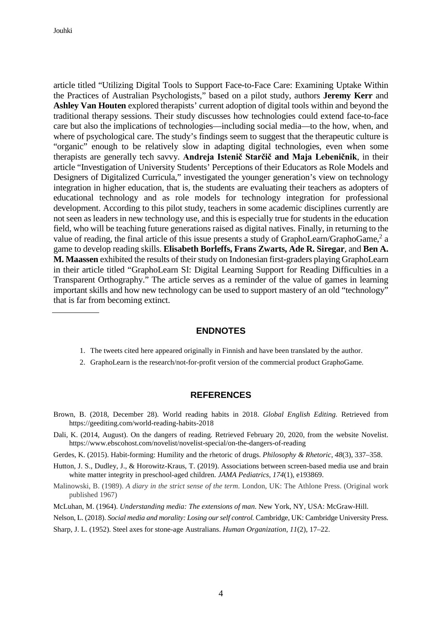article titled "Utilizing Digital Tools to Support Face-to-Face Care: Examining Uptake Within the Practices of Australian Psychologists," based on a pilot study, authors **Jeremy Kerr** and **Ashley Van Houten** explored therapists' current adoption of digital tools within and beyond the traditional therapy sessions. Their study discusses how technologies could extend face-to-face care but also the implications of technologies—including social media—to the how, when, and where of psychological care. The study's findings seem to suggest that the therapeutic culture is "organic" enough to be relatively slow in adapting digital technologies, even when some therapists are generally tech savvy. **Andreja Istenič Starčič and Maja Lebeničnik**, in their article "Investigation of University Students' Perceptions of their Educators as Role Models and Designers of Digitalized Curricula," investigated the younger generation's view on technology integration in higher education, that is, the students are evaluating their teachers as adopters of educational technology and as role models for technology integration for professional development. According to this pilot study, teachers in some academic disciplines currently are not seen as leaders in new technology use, and this is especially true for students in the education field, who will be teaching future generations raised as digital natives. Finally, in returning to the value of reading, the final article of this issue presents a study of GraphoLearn/GraphoGame,<sup>2</sup> a game to develop reading skills. **Elisabeth Borleffs, Frans Zwarts, Ade R. Siregar**, and **Ben A. M. Maassen** exhibited the results of their study on Indonesian first-graders playing GraphoLearn in their article titled "GraphoLearn SI: Digital Learning Support for Reading Difficulties in a Transparent Orthography." The article serves as a reminder of the value of games in learning important skills and how new technology can be used to support mastery of an old "technology" that is far from becoming extinct.

#### **ENDNOTES**

- 1. The tweets cited here appeared originally in Finnish and have been translated by the author.
- 2. GraphoLearn is the research/not-for-profit version of the commercial product GraphoGame.

#### **REFERENCES**

- Brown, B. (2018, December 28). World reading habits in 2018. *Global English Editing.* Retrieved from https://geediting.com/world-reading-habits-2018
- Dali, K. (2014, August). On the dangers of reading*.* Retrieved February 20, 2020, from the website Novelist. https://www.ebscohost.com/novelist/novelist-special/on-the-dangers-of-reading
- Gerdes, K. (2015). Habit-forming: Humility and the rhetoric of drugs. *Philosophy & Rhetoric, 48*(3), 337–358.
- Hutton, J. S., Dudley, J., & Horowitz-Kraus, T. (2019). Associations between screen-based media use and brain white matter integrity in preschool-aged children. *JAMA Pediatrics, 174*(1), e193869.
- Malinowski, B. (1989). *A diary in the strict sense of the term*. London, UK: The Athlone Press. (Original work published 1967)
- McLuhan, M. (1964). *Understanding media: The extensions of man.* New York, NY, USA: McGraw-Hill.
- Nelson, L. (2018). *Social media and morality: Losing ourself control.* Cambridge, UK: Cambridge University Press.
- Sharp, J. L. (1952). Steel axes for stone-age Australians. *Human Organization*, *11*(2), 17–22.